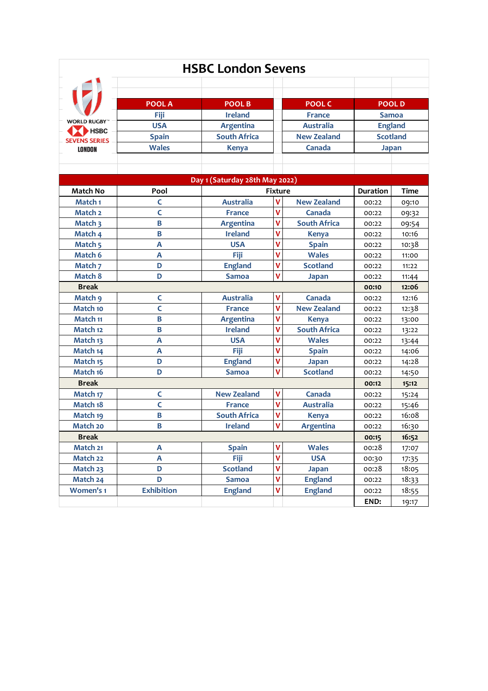| <b>HSBC London Sevens</b> |                                |                     |                |                     |                 |              |  |  |  |  |
|---------------------------|--------------------------------|---------------------|----------------|---------------------|-----------------|--------------|--|--|--|--|
|                           |                                |                     |                |                     |                 |              |  |  |  |  |
|                           |                                |                     |                |                     |                 |              |  |  |  |  |
|                           | <b>POOL A</b>                  | <b>POOL B</b>       |                | <b>POOL C</b>       | <b>POOLD</b>    |              |  |  |  |  |
| <b>WORLD RUGBY</b>        | <b>Fiji</b>                    | <b>Ireland</b>      |                | <b>France</b>       | <b>Samoa</b>    |              |  |  |  |  |
| HSBC                      | <b>USA</b>                     | <b>Argentina</b>    |                | <b>Australia</b>    | <b>England</b>  |              |  |  |  |  |
| <b>SEVENS SERIES</b>      | <b>Spain</b>                   | <b>South Africa</b> |                | <b>New Zealand</b>  | <b>Scotland</b> |              |  |  |  |  |
| <b>LONDON</b>             | <b>Wales</b>                   | <b>Kenya</b>        | Canada         |                     |                 | <b>Japan</b> |  |  |  |  |
|                           |                                |                     |                |                     |                 |              |  |  |  |  |
|                           |                                |                     |                |                     |                 |              |  |  |  |  |
|                           | Day 1 (Saturday 28th May 2022) |                     |                |                     |                 |              |  |  |  |  |
| <b>Match No</b>           | Pool                           |                     | <b>Fixture</b> |                     |                 | Time         |  |  |  |  |
| Match <sub>1</sub>        | C                              | <b>Australia</b>    | ۷              | <b>New Zealand</b>  | 00:22           | 09:10        |  |  |  |  |
| Match <sub>2</sub>        | Ċ                              | <b>France</b>       | ۷              | Canada              | 00:22           | 09:32        |  |  |  |  |
| Match 3                   | B                              | Argentina           | ۷              | <b>South Africa</b> | 00:22           | 09:54        |  |  |  |  |
| Match 4                   | B                              | <b>Ireland</b>      | ٧              | <b>Kenya</b>        | 00:22           | 10:16        |  |  |  |  |
| Match <sub>5</sub>        | A                              | <b>USA</b>          | ۷              | <b>Spain</b>        | 00:22           | 10:38        |  |  |  |  |
| Match 6                   | A                              | Fiji                | ۷              | <b>Wales</b>        | 00:22           | 11:00        |  |  |  |  |
| Match 7                   | D                              | <b>England</b>      | V              | <b>Scotland</b>     | 00:22           | 11:22        |  |  |  |  |
| Match 8                   | D                              | <b>Samoa</b>        | V              | <b>Japan</b>        | 00:22           | 11:44        |  |  |  |  |
| <b>Break</b>              |                                |                     |                |                     | 00:10           | 12:06        |  |  |  |  |
| Match 9                   | C                              | <b>Australia</b>    | ۷              | Canada              | 00:22           | 12:16        |  |  |  |  |
| Match 10                  | C                              | <b>France</b>       | ۷              | <b>New Zealand</b>  | 00:22           | 12:38        |  |  |  |  |
| Match 11                  | В                              | Argentina           | ۷              | <b>Kenya</b>        | 00:22           | 13:00        |  |  |  |  |
| Match 12                  | B                              | <b>Ireland</b>      | V              | <b>South Africa</b> | 00:22           | 13:22        |  |  |  |  |
| Match 13                  | A                              | <b>USA</b>          | ۷              | <b>Wales</b>        | 00:22           | 13:44        |  |  |  |  |
| Match 14                  | A                              | Fiji                | ٧              | <b>Spain</b>        | 00:22           | 14:06        |  |  |  |  |
| Match 15                  | D                              | <b>England</b>      | V              | <b>Japan</b>        | 00:22           | 14:28        |  |  |  |  |
| Match 16                  | D                              | <b>Samoa</b>        | ۷              | <b>Scotland</b>     | 00:22           | 14:50        |  |  |  |  |
| <b>Break</b>              | 00:12                          | 15:12               |                |                     |                 |              |  |  |  |  |
| Match 17                  | C                              | <b>New Zealand</b>  | ۷              | Canada              | 00:22           | 15:24        |  |  |  |  |
| Match 18                  | C                              | <b>France</b>       | ۷              | <b>Australia</b>    | 00:22           | 15:46        |  |  |  |  |
| Match 19                  | B                              | <b>South Africa</b> | ۷              | <b>Kenya</b>        | 00:22           | 16:08        |  |  |  |  |
| Match 20                  | В                              | <b>Ireland</b>      | V              | <b>Argentina</b>    | 00:22           | 16:30        |  |  |  |  |
| <b>Break</b>              |                                |                     |                |                     |                 | 16:52        |  |  |  |  |
| Match 21                  | Α                              | <b>Spain</b>        | ۷              | <b>Wales</b>        | 00:28           | 17:07        |  |  |  |  |
| Match 22                  | Α                              | <b>Fiji</b>         | V              | <b>USA</b>          | 00:30           | 17:35        |  |  |  |  |
| Match 23                  | D                              | <b>Scotland</b>     | V              | <b>Japan</b>        | 00:28           | 18:05        |  |  |  |  |
| Match 24                  | D                              | <b>Samoa</b>        | ۷              | <b>England</b>      | 00:22           | 18:33        |  |  |  |  |
| <b>Women's 1</b>          | <b>Exhibition</b>              | <b>England</b>      | ٧              | <b>England</b>      | 00:22           | 18:55        |  |  |  |  |
|                           |                                |                     |                |                     | END:            | 19:17        |  |  |  |  |